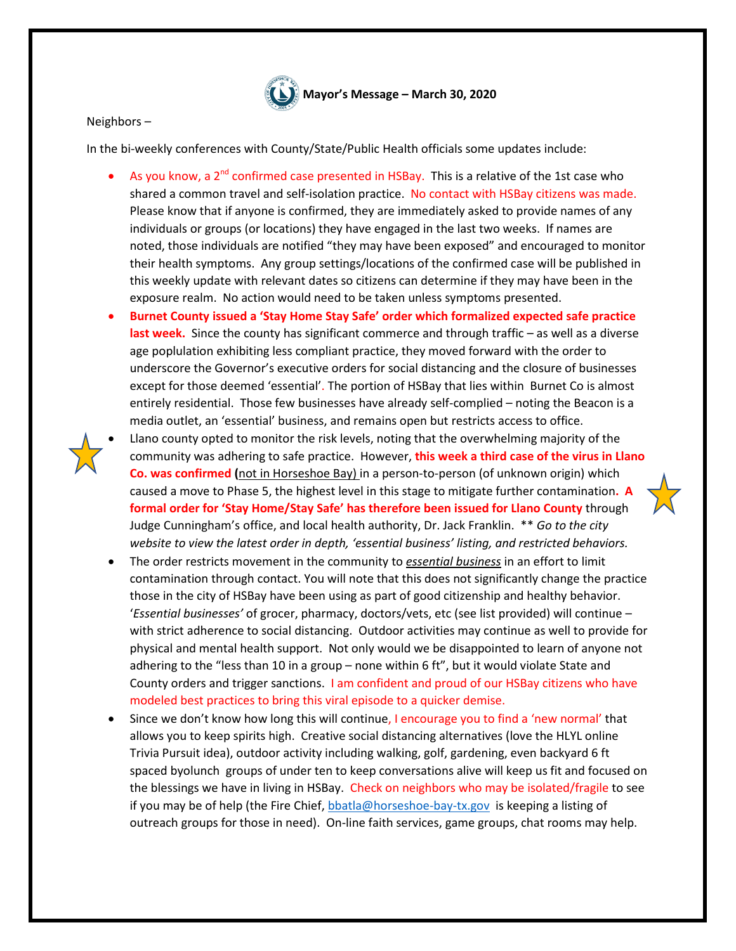

## Neighbors –

In the bi-weekly conferences with County/State/Public Health officials some updates include:

- As you know, a  $2^{nd}$  confirmed case presented in HSBay. This is a relative of the 1st case who shared a common travel and self-isolation practice. No contact with HSBay citizens was made. Please know that if anyone is confirmed, they are immediately asked to provide names of any individuals or groups (or locations) they have engaged in the last two weeks. If names are noted, those individuals are notified "they may have been exposed" and encouraged to monitor their health symptoms. Any group settings/locations of the confirmed case will be published in this weekly update with relevant dates so citizens can determine if they may have been in the exposure realm. No action would need to be taken unless symptoms presented.
- **Burnet County issued a 'Stay Home Stay Safe' order which formalized expected safe practice last week.** Since the county has significant commerce and through traffic – as well as a diverse age poplulation exhibiting less compliant practice, they moved forward with the order to underscore the Governor's executive orders for social distancing and the closure of businesses except for those deemed 'essential'. The portion of HSBay that lies within Burnet Co is almost entirely residential. Those few businesses have already self-complied – noting the Beacon is a media outlet, an 'essential' business, and remains open but restricts access to office.
- 
- Llano county opted to monitor the risk levels, noting that the overwhelming majority of the community was adhering to safe practice. However, **this week a third case of the virus in Llano Co. was confirmed (**not in Horseshoe Bay) in a person-to-person (of unknown origin) which caused a move to Phase 5, the highest level in this stage to mitigate further contamination**. A formal order for 'Stay Home/Stay Safe' has therefore been issued for Llano County** through Judge Cunningham's office, and local health authority, Dr. Jack Franklin. \*\* *Go to the city website to view the latest order in depth, 'essential business' listing, and restricted behaviors.*
- The order restricts movement in the community to *essential business* in an effort to limit contamination through contact. You will note that this does not significantly change the practice those in the city of HSBay have been using as part of good citizenship and healthy behavior. '*Essential businesses'* of grocer, pharmacy, doctors/vets, etc (see list provided) will continue – with strict adherence to social distancing. Outdoor activities may continue as well to provide for physical and mental health support. Not only would we be disappointed to learn of anyone not adhering to the "less than 10 in a group – none within 6 ft", but it would violate State and County orders and trigger sanctions. I am confident and proud of our HSBay citizens who have modeled best practices to bring this viral episode to a quicker demise.
- Since we don't know how long this will continue, I encourage you to find a 'new normal' that allows you to keep spirits high. Creative social distancing alternatives (love the HLYL online Trivia Pursuit idea), outdoor activity including walking, golf, gardening, even backyard 6 ft spaced byolunch groups of under ten to keep conversations alive will keep us fit and focused on the blessings we have in living in HSBay. Check on neighbors who may be isolated/fragile to see if you may be of help (the Fire Chief[, bbatla@horseshoe-bay-tx.gov](mailto:bbatla@horseshoe-bay-tx.gov) is keeping a listing of outreach groups for those in need). On-line faith services, game groups, chat rooms may help.